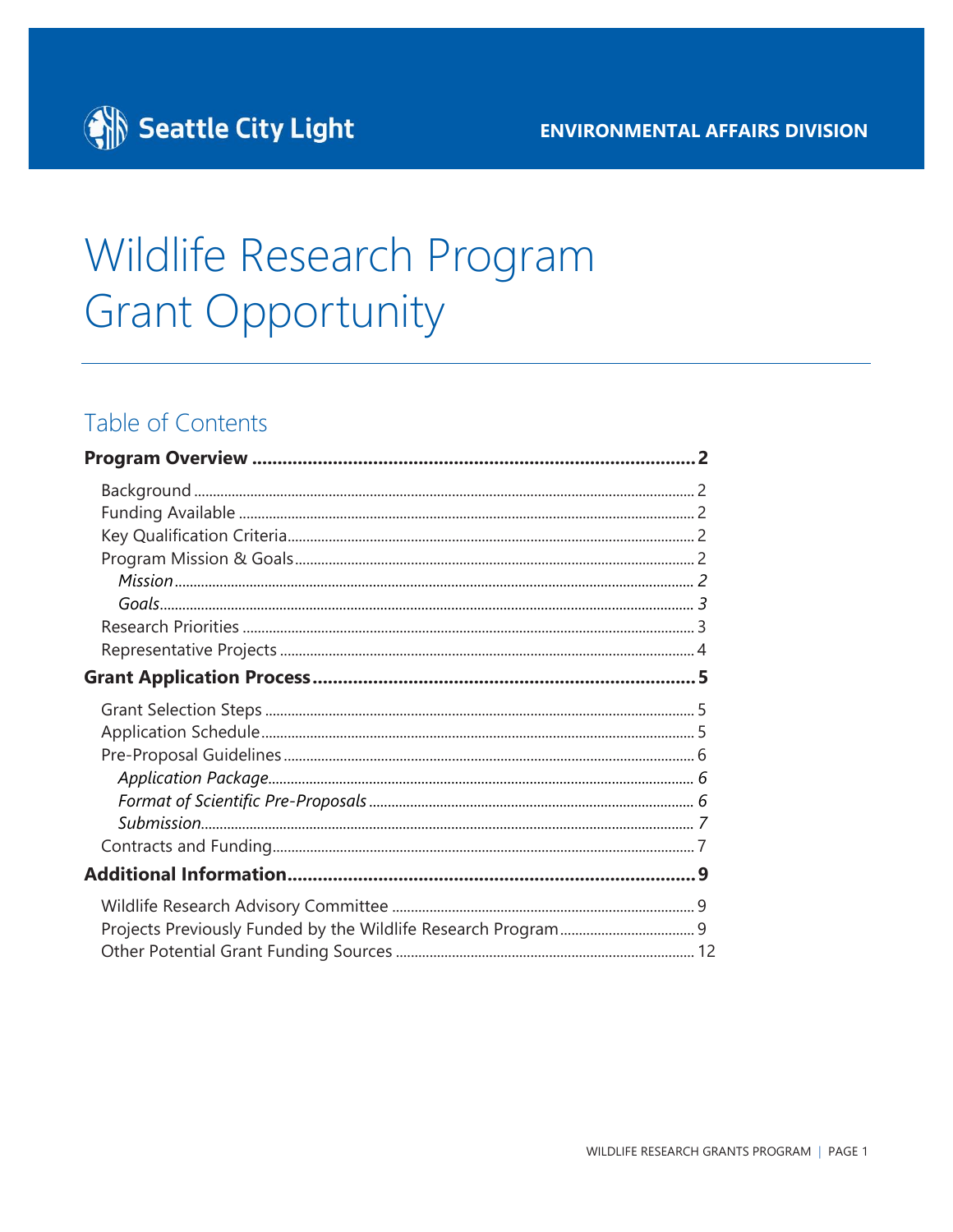

## Wildlife Research Program **Grant Opportunity**

### Table of Contents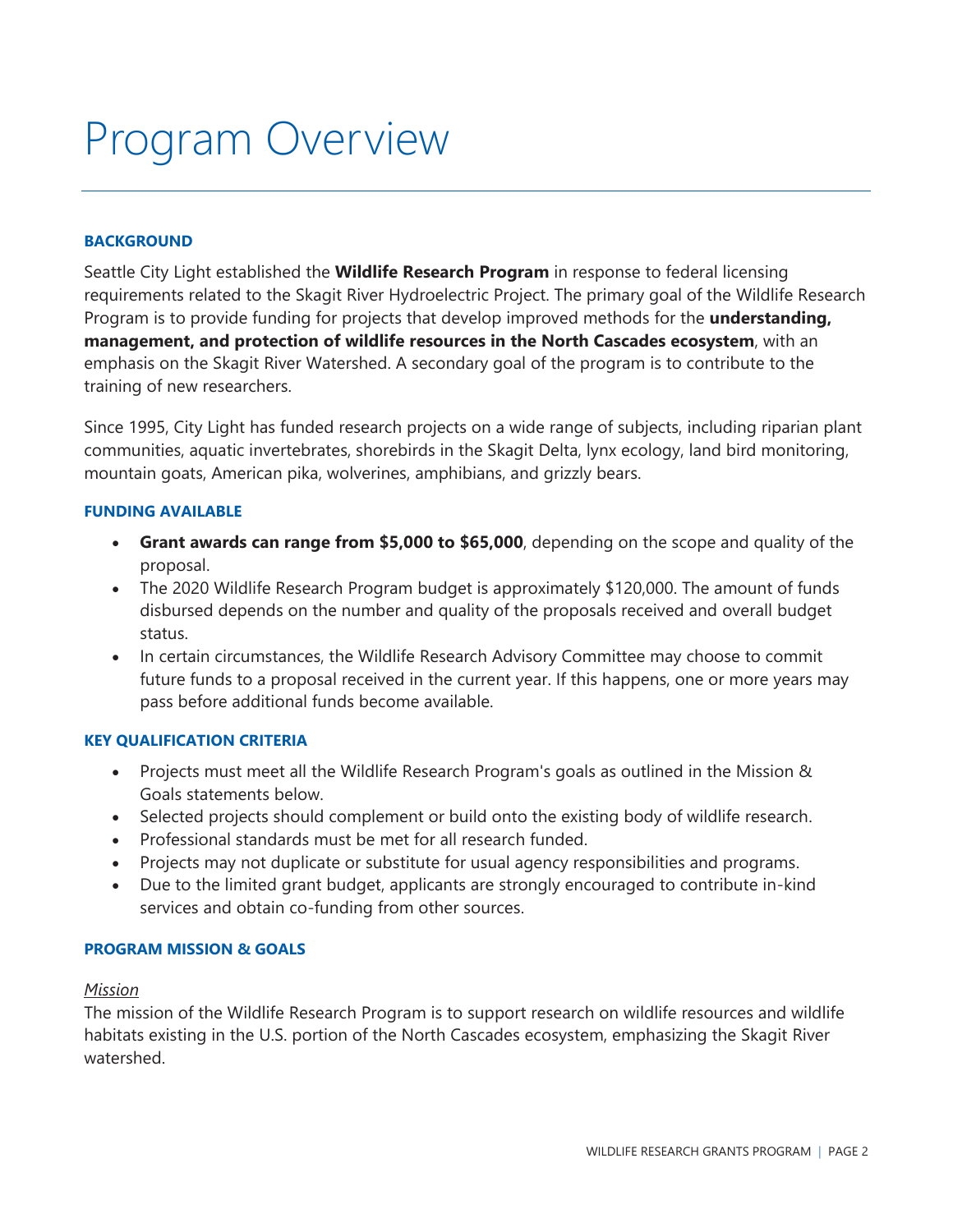### <span id="page-1-0"></span>Program Overview

#### <span id="page-1-1"></span>**BACKGROUND**

Seattle City Light established the **Wildlife Research Program** in response to federal licensing requirements related to the Skagit River Hydroelectric Project. The primary goal of the Wildlife Research Program is to provide funding for projects that develop improved methods for the **understanding, management, and protection of wildlife resources in the North Cascades ecosystem**, with an emphasis on the Skagit River Watershed. A secondary goal of the program is to contribute to the training of new researchers.

Since 1995, City Light has funded research projects on a wide range of subjects, including riparian plant communities, aquatic invertebrates, shorebirds in the Skagit Delta, lynx ecology, land bird monitoring, mountain goats, American pika, wolverines, amphibians, and grizzly bears.

#### <span id="page-1-2"></span>**FUNDING AVAILABLE**

- **Grant awards can range from \$5,000 to \$65,000**, depending on the scope and quality of the proposal.
- The 2020 Wildlife Research Program budget is approximately \$120,000. The amount of funds disbursed depends on the number and quality of the proposals received and overall budget status.
- In certain circumstances, the Wildlife Research Advisory Committee may choose to commit future funds to a proposal received in the current year. If this happens, one or more years may pass before additional funds become available.

#### <span id="page-1-3"></span>**KEY QUALIFICATION CRITERIA**

- Projects must meet all the Wildlife Research Program's goals as outlined in the Mission & Goals statements below.
- Selected projects should complement or build onto the existing body of wildlife research.
- Professional standards must be met for all research funded.
- Projects may not duplicate or substitute for usual agency responsibilities and programs.
- Due to the limited grant budget, applicants are strongly encouraged to contribute in-kind services and obtain co-funding from other sources.

#### <span id="page-1-4"></span>**PROGRAM MISSION & GOALS**

#### <span id="page-1-5"></span>*Mission*

The mission of the Wildlife Research Program is to support research on wildlife resources and wildlife habitats existing in the U.S. portion of the North Cascades ecosystem, emphasizing the Skagit River watershed.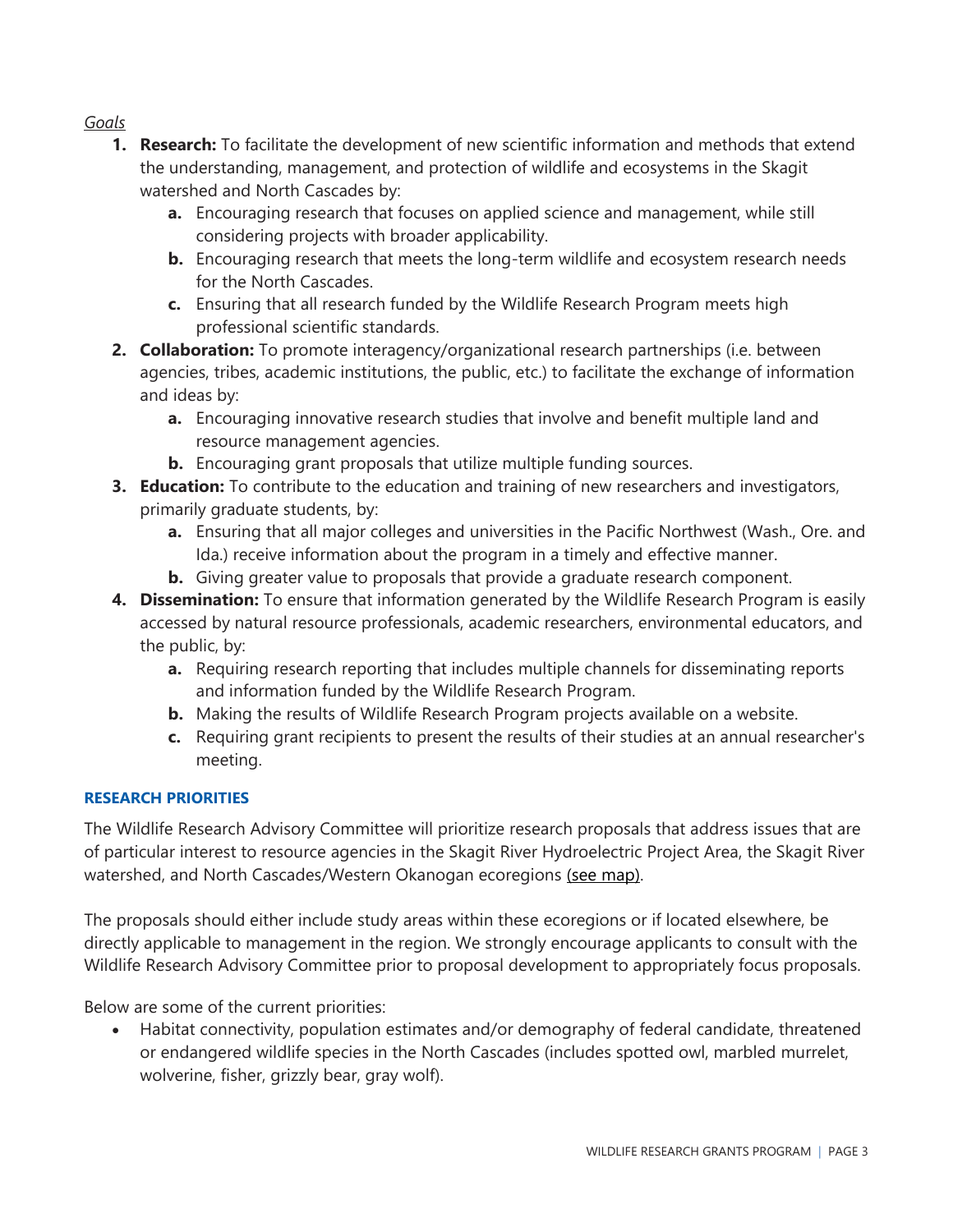#### <span id="page-2-0"></span>*Goals*

- **1. Research:** To facilitate the development of new scientific information and methods that extend the understanding, management, and protection of wildlife and ecosystems in the Skagit watershed and North Cascades by:
	- **a.** Encouraging research that focuses on applied science and management, while still considering projects with broader applicability.
	- **b.** Encouraging research that meets the long-term wildlife and ecosystem research needs for the North Cascades.
	- **c.** Ensuring that all research funded by the Wildlife Research Program meets high professional scientific standards.
- **2. Collaboration:** To promote interagency/organizational research partnerships (i.e. between agencies, tribes, academic institutions, the public, etc.) to facilitate the exchange of information and ideas by:
	- **a.** Encouraging innovative research studies that involve and benefit multiple land and resource management agencies.
	- **b.** Encouraging grant proposals that utilize multiple funding sources.
- **3. Education:** To contribute to the education and training of new researchers and investigators, primarily graduate students, by:
	- **a.** Ensuring that all major colleges and universities in the Pacific Northwest (Wash., Ore. and Ida.) receive information about the program in a timely and effective manner.
	- **b.** Giving greater value to proposals that provide a graduate research component.
- **4. Dissemination:** To ensure that information generated by the Wildlife Research Program is easily accessed by natural resource professionals, academic researchers, environmental educators, and the public, by:
	- **a.** Requiring research reporting that includes multiple channels for disseminating reports and information funded by the Wildlife Research Program.
	- **b.** Making the results of Wildlife Research Program projects available on a website.
	- **c.** Requiring grant recipients to present the results of their studies at an annual researcher's meeting.

#### <span id="page-2-1"></span>**RESEARCH PRIORITIES**

The Wildlife Research Advisory Committee will prioritize research proposals that address issues that are of particular interest to resource agencies in the Skagit River Hydroelectric Project Area, the Skagit River watershed, and North Cascades/Western Okanogan ecoregions [\(see map\).](javascript:togglewildlifegrant()

The proposals should either include study areas within these ecoregions or if located elsewhere, be directly applicable to management in the region. We strongly encourage applicants to consult with the Wildlife Research Advisory Committee prior to proposal development to appropriately focus proposals.

Below are some of the current priorities:

• Habitat connectivity, population estimates and/or demography of federal candidate, threatened or endangered wildlife species in the North Cascades (includes spotted owl, marbled murrelet, wolverine, fisher, grizzly bear, gray wolf).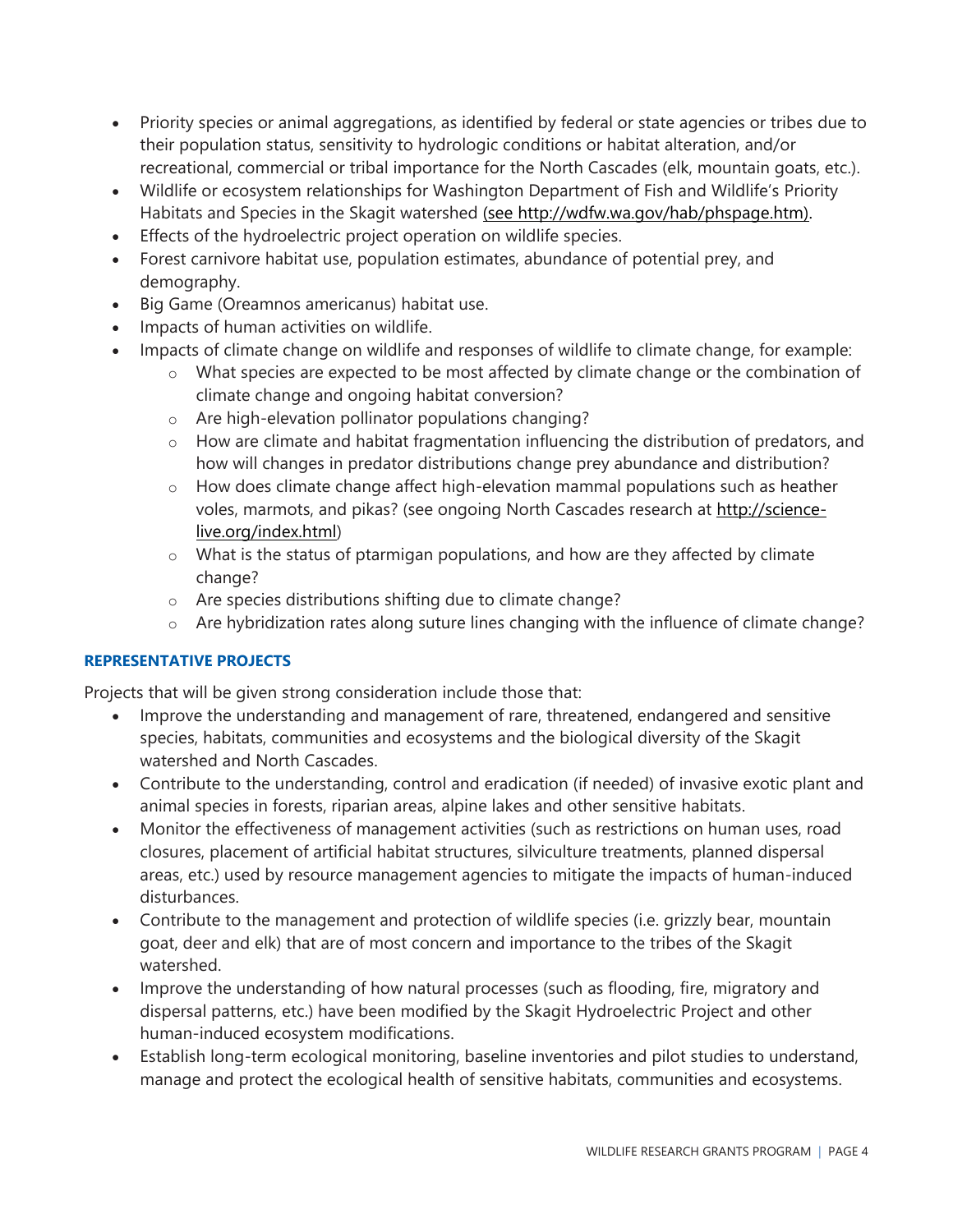- Priority species or animal aggregations, as identified by federal or state agencies or tribes due to their population status, sensitivity to hydrologic conditions or habitat alteration, and/or recreational, commercial or tribal importance for the North Cascades (elk, mountain goats, etc.).
- Wildlife or ecosystem relationships for Washington Department of Fish and Wildlife's Priority Habitats and Species in the Skagit watershed [\(see http://wdfw.wa.gov/hab/phspage.htm\).](http://wdfw.wa.gov/hab/phspage.htm)
- Effects of the hydroelectric project operation on wildlife species.
- Forest carnivore habitat use, population estimates, abundance of potential prey, and demography.
- Big Game (Oreamnos americanus) habitat use.
- Impacts of human activities on wildlife.
- Impacts of climate change on wildlife and responses of wildlife to climate change, for example:
	- o What species are expected to be most affected by climate change or the combination of climate change and ongoing habitat conversion?
	- o Are high-elevation pollinator populations changing?
	- o How are climate and habitat fragmentation influencing the distribution of predators, and how will changes in predator distributions change prey abundance and distribution?
	- o How does climate change affect high-elevation mammal populations such as heather voles, marmots, and pikas? (see ongoing North Cascades research at [http://science](http://science-live.org/index.html)[live.org/index.html\)](http://science-live.org/index.html)
	- $\circ$  What is the status of ptarmigan populations, and how are they affected by climate change?
	- o Are species distributions shifting due to climate change?
	- o Are hybridization rates along suture lines changing with the influence of climate change?

#### <span id="page-3-0"></span>**REPRESENTATIVE PROJECTS**

Projects that will be given strong consideration include those that:

- Improve the understanding and management of rare, threatened, endangered and sensitive species, habitats, communities and ecosystems and the biological diversity of the Skagit watershed and North Cascades.
- Contribute to the understanding, control and eradication (if needed) of invasive exotic plant and animal species in forests, riparian areas, alpine lakes and other sensitive habitats.
- Monitor the effectiveness of management activities (such as restrictions on human uses, road closures, placement of artificial habitat structures, silviculture treatments, planned dispersal areas, etc.) used by resource management agencies to mitigate the impacts of human-induced disturbances.
- Contribute to the management and protection of wildlife species (i.e. grizzly bear, mountain goat, deer and elk) that are of most concern and importance to the tribes of the Skagit watershed.
- Improve the understanding of how natural processes (such as flooding, fire, migratory and dispersal patterns, etc.) have been modified by the Skagit Hydroelectric Project and other human-induced ecosystem modifications.
- Establish long-term ecological monitoring, baseline inventories and pilot studies to understand, manage and protect the ecological health of sensitive habitats, communities and ecosystems.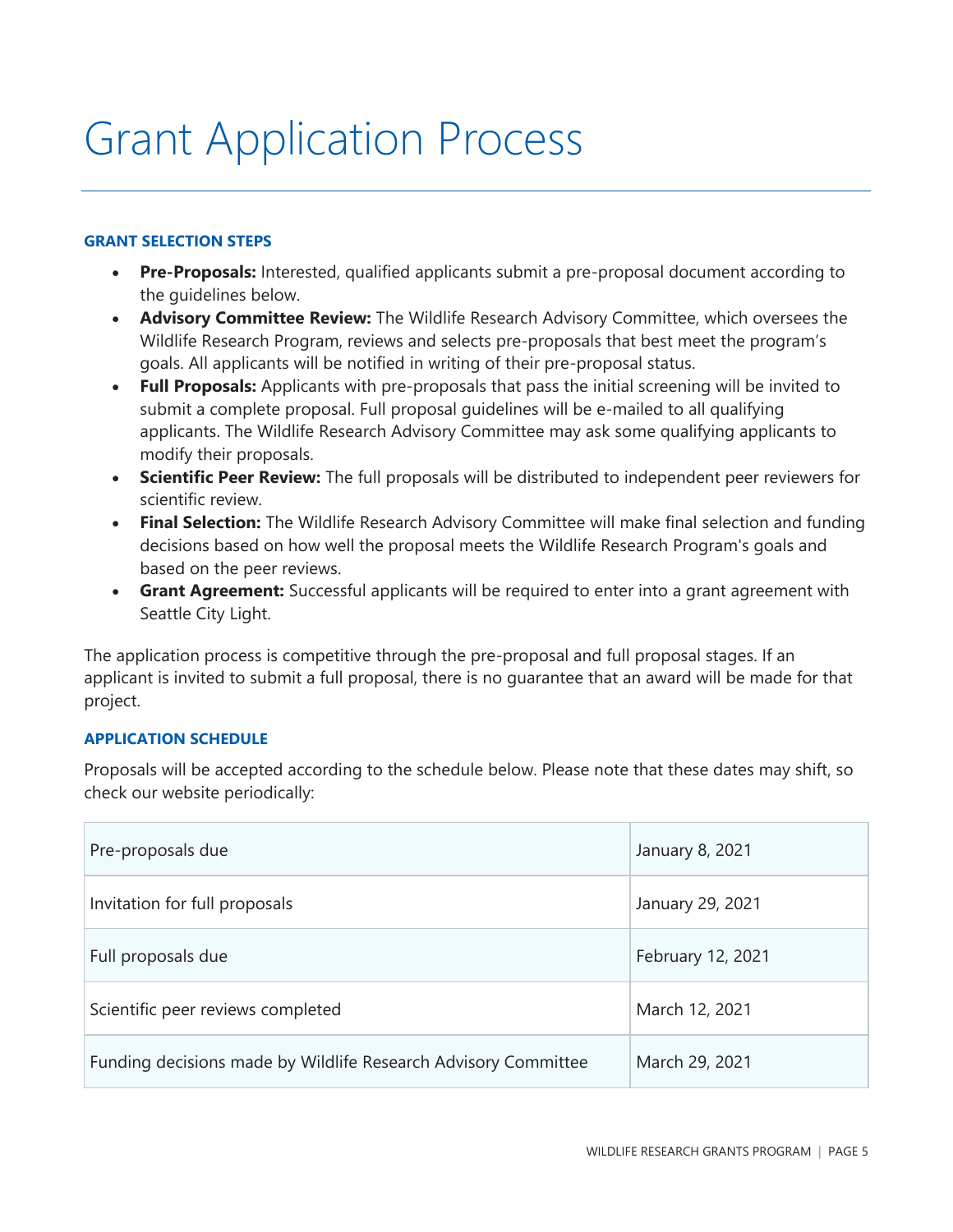## <span id="page-4-0"></span>Grant Application Process

#### <span id="page-4-1"></span>**GRANT SELECTION STEPS**

- **Pre-Proposals:** Interested, qualified applicants submit a pre-proposal document according to the guidelines below.
- **Advisory Committee Review:** The Wildlife Research Advisory Committee, which oversees the Wildlife Research Program, reviews and selects pre-proposals that best meet the program's goals. All applicants will be notified in writing of their pre-proposal status.
- **Full Proposals:** Applicants with pre-proposals that pass the initial screening will be invited to submit a complete proposal. Full proposal guidelines will be e-mailed to all qualifying applicants. The Wildlife Research Advisory Committee may ask some qualifying applicants to modify their proposals.
- **Scientific Peer Review:** The full proposals will be distributed to independent peer reviewers for scientific review.
- **Final Selection:** The Wildlife Research Advisory Committee will make final selection and funding decisions based on how well the proposal meets the Wildlife Research Program's goals and based on the peer reviews.
- **Grant Agreement:** Successful applicants will be required to enter into a grant agreement with Seattle City Light.

The application process is competitive through the pre-proposal and full proposal stages. If an applicant is invited to submit a full proposal, there is no guarantee that an award will be made for that project.

#### <span id="page-4-2"></span>**APPLICATION SCHEDULE**

Proposals will be accepted according to the schedule below. Please note that these dates may shift, so check our website periodically:

| Pre-proposals due                                              | January 8, 2021   |
|----------------------------------------------------------------|-------------------|
| Invitation for full proposals                                  | January 29, 2021  |
| Full proposals due                                             | February 12, 2021 |
| Scientific peer reviews completed                              | March 12, 2021    |
| Funding decisions made by Wildlife Research Advisory Committee | March 29, 2021    |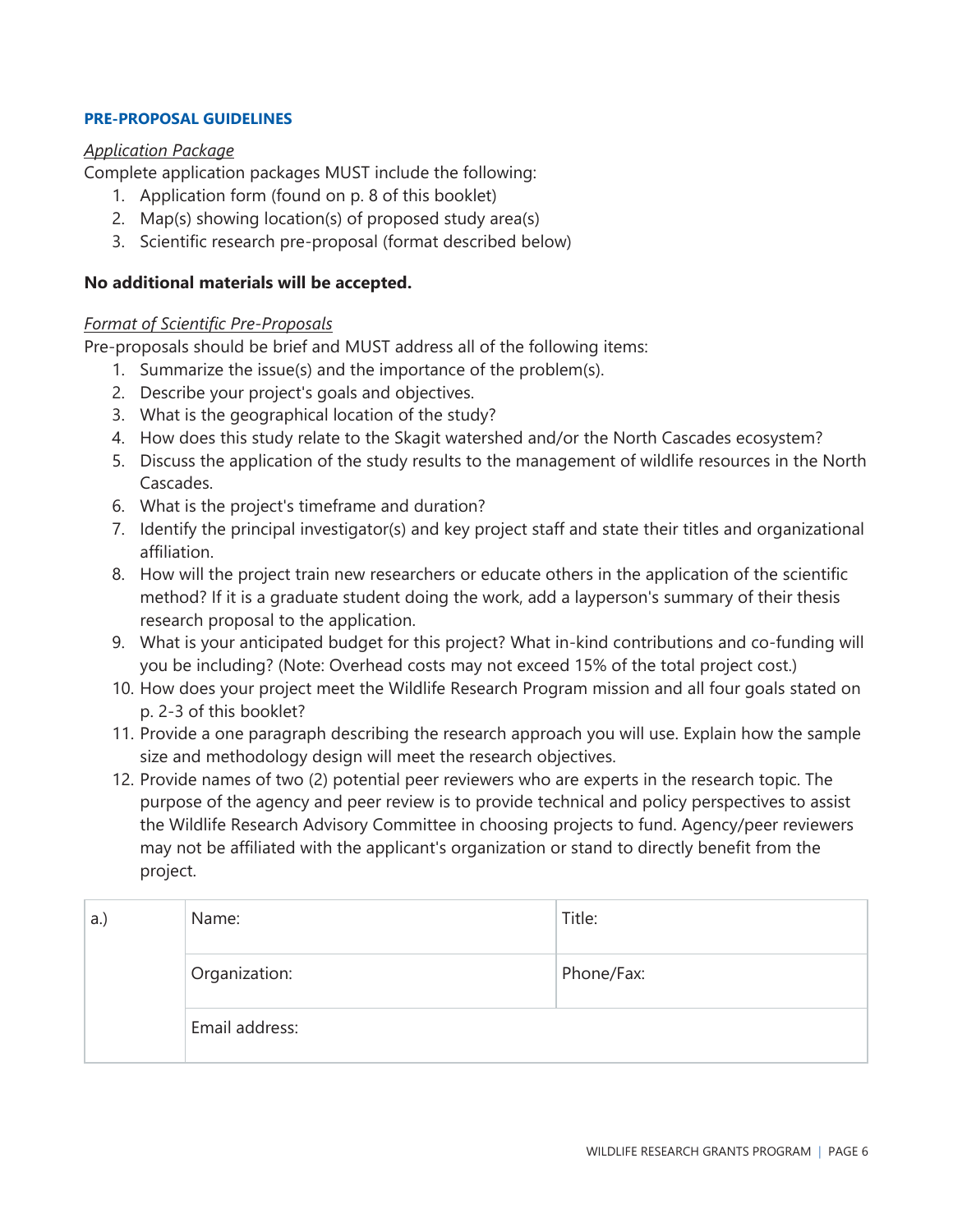#### <span id="page-5-0"></span>**PRE-PROPOSAL GUIDELINES**

#### <span id="page-5-1"></span>*Application Package*

Complete application packages MUST include the following:

- 1. Application form (found on p. 8 of this booklet)
- 2. Map(s) showing location(s) of proposed study area(s)
- 3. Scientific research pre-proposal (format described below)

#### **No additional materials will be accepted.**

#### <span id="page-5-2"></span>*Format of Scientific Pre-Proposals*

Pre-proposals should be brief and MUST address all of the following items:

- 1. Summarize the issue(s) and the importance of the problem(s).
- 2. Describe your project's goals and objectives.
- 3. What is the geographical location of the study?
- 4. How does this study relate to the Skagit watershed and/or the North Cascades ecosystem?
- 5. Discuss the application of the study results to the management of wildlife resources in the North Cascades.
- 6. What is the project's timeframe and duration?
- 7. Identify the principal investigator(s) and key project staff and state their titles and organizational affiliation.
- 8. How will the project train new researchers or educate others in the application of the scientific method? If it is a graduate student doing the work, add a layperson's summary of their thesis research proposal to the application.
- 9. What is your anticipated budget for this project? What in-kind contributions and co-funding will you be including? (Note: Overhead costs may not exceed 15% of the total project cost.)
- 10. How does your project meet the Wildlife Research Program mission and all four goals stated on p. 2-3 of this booklet?
- 11. Provide a one paragraph describing the research approach you will use. Explain how the sample size and methodology design will meet the research objectives.
- 12. Provide names of two (2) potential peer reviewers who are experts in the research topic. The purpose of the agency and peer review is to provide technical and policy perspectives to assist the Wildlife Research Advisory Committee in choosing projects to fund. Agency/peer reviewers may not be affiliated with the applicant's organization or stand to directly benefit from the project.

| a.) | Name:          | Title:     |
|-----|----------------|------------|
|     | Organization:  | Phone/Fax: |
|     | Email address: |            |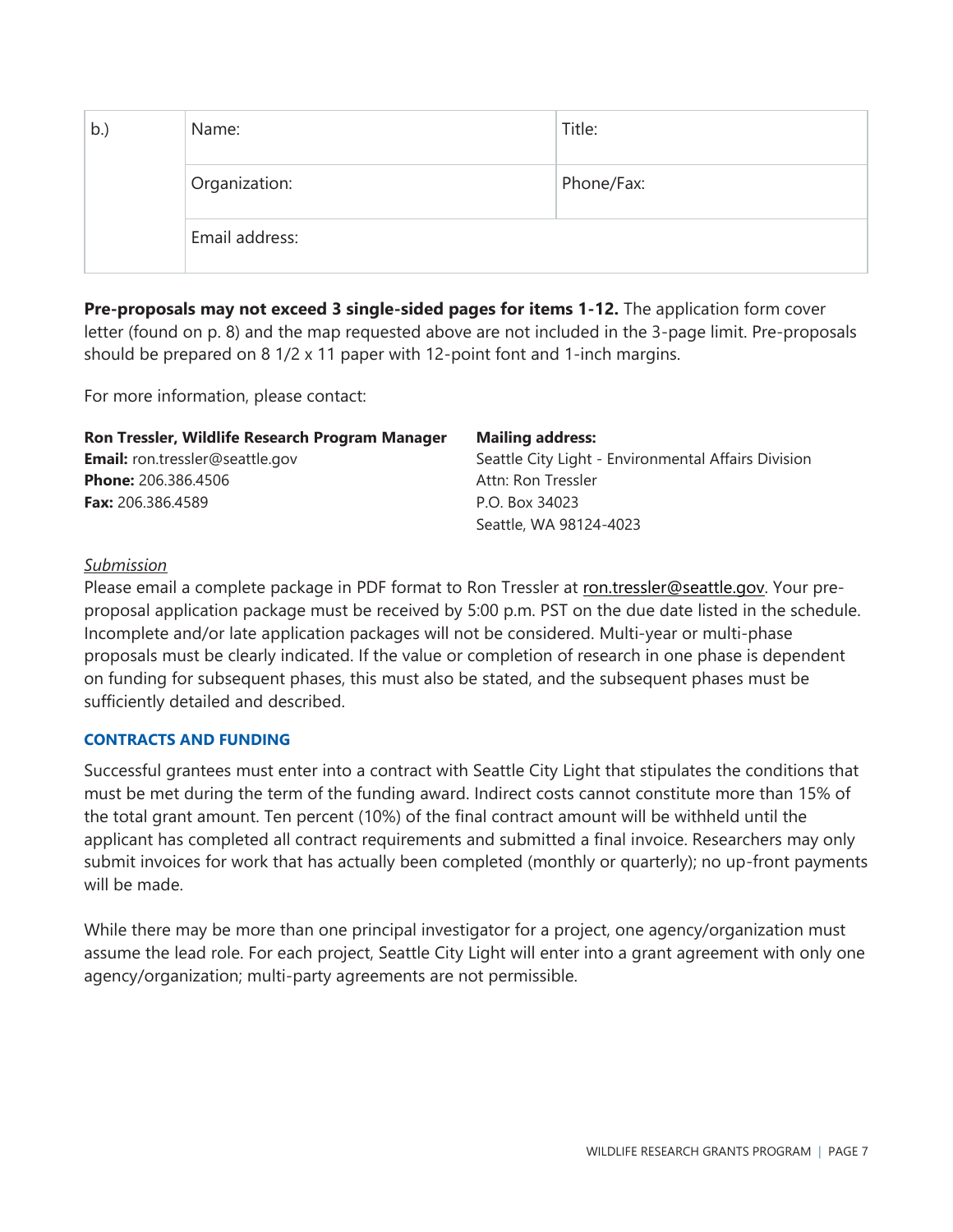| b. | Name:          | Title:     |
|----|----------------|------------|
|    | Organization:  | Phone/Fax: |
|    | Email address: |            |

**Pre-proposals may not exceed 3 single-sided pages for items 1-12.** The application form cover letter (found on p. 8) and the map requested above are not included in the 3-page limit. Pre-proposals should be prepared on 8 1/2 x 11 paper with 12-point font and 1-inch margins.

For more information, please contact:

| Ron Tressler, Wildlife Research Program Manager | <b>Mailing address:</b>                             |
|-------------------------------------------------|-----------------------------------------------------|
| <b>Email:</b> ron.tressler@seattle.gov          | Seattle City Light - Environmental Affairs Division |
| <b>Phone: 206.386.4506</b>                      | Attn: Ron Tressler                                  |
| <b>Fax:</b> 206.386.4589                        | P.O. Box 34023                                      |
|                                                 | Seattle, WA 98124-4023                              |

#### <span id="page-6-0"></span>*Submission*

Please email a complete package in PDF format to Ron Tressler at [ron.tressler@seattle.gov.](mailto:ron.tressler@seattle.gov) Your preproposal application package must be received by 5:00 p.m. PST on the due date listed in the schedule. Incomplete and/or late application packages will not be considered. Multi-year or multi-phase proposals must be clearly indicated. If the value or completion of research in one phase is dependent on funding for subsequent phases, this must also be stated, and the subsequent phases must be sufficiently detailed and described.

#### <span id="page-6-1"></span>**CONTRACTS AND FUNDING**

Successful grantees must enter into a contract with Seattle City Light that stipulates the conditions that must be met during the term of the funding award. Indirect costs cannot constitute more than 15% of the total grant amount. Ten percent (10%) of the final contract amount will be withheld until the applicant has completed all contract requirements and submitted a final invoice. Researchers may only submit invoices for work that has actually been completed (monthly or quarterly); no up-front payments will be made.

While there may be more than one principal investigator for a project, one agency/organization must assume the lead role. For each project, Seattle City Light will enter into a grant agreement with only one agency/organization; multi-party agreements are not permissible.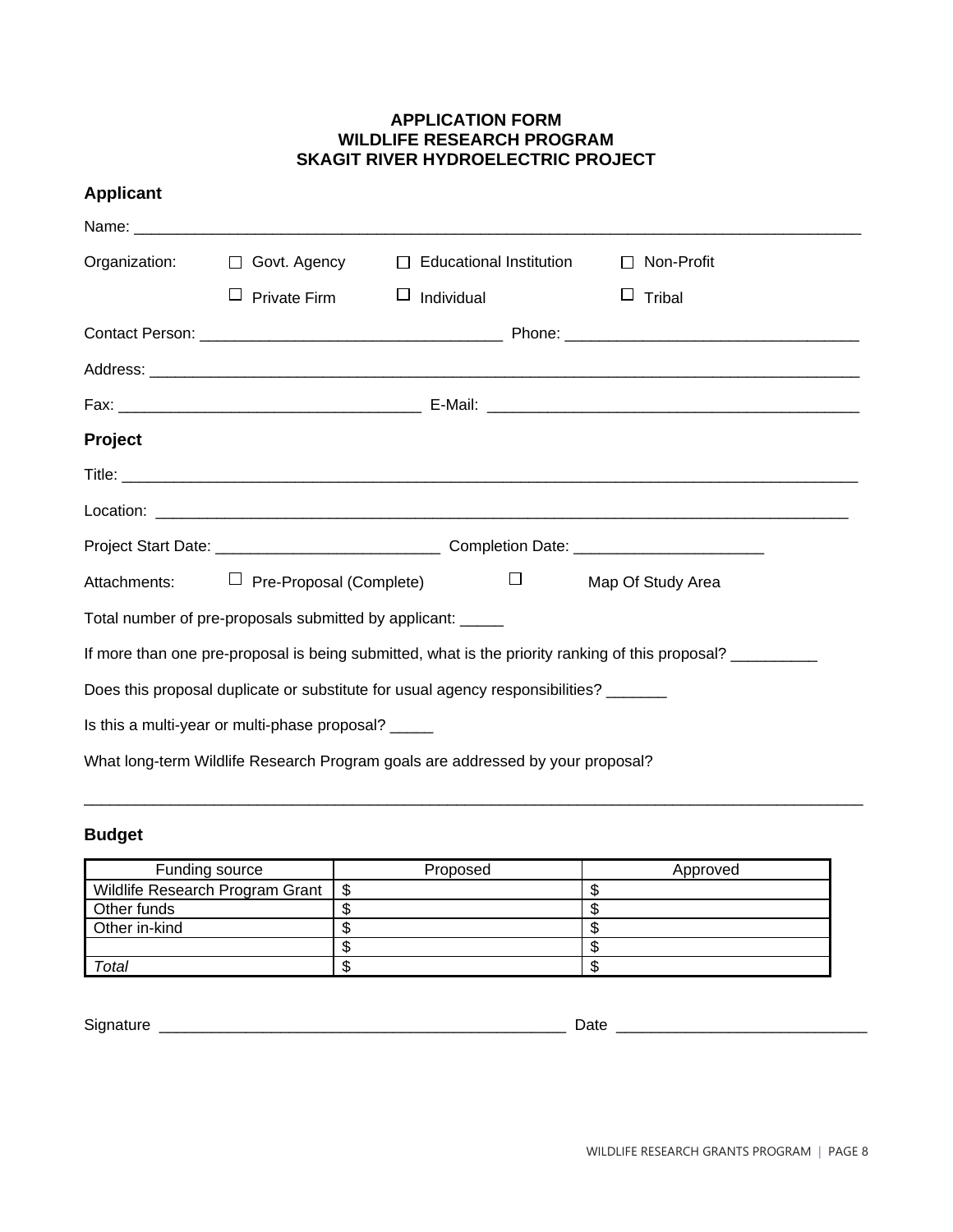#### **APPLICATION FORM WILDLIFE RESEARCH PROGRAM SKAGIT RIVER HYDROELECTRIC PROJECT**

| <b>Applicant</b> |                                                             |                                                                                      |                                                                                                  |  |
|------------------|-------------------------------------------------------------|--------------------------------------------------------------------------------------|--------------------------------------------------------------------------------------------------|--|
|                  |                                                             |                                                                                      |                                                                                                  |  |
|                  |                                                             | Organization: □ Govt. Agency □ Educational Institution                               | $\Box$ Non-Profit                                                                                |  |
|                  | $\Box$ Private Firm                                         | $\Box$ Individual                                                                    | $\Box$ Tribal                                                                                    |  |
|                  |                                                             |                                                                                      |                                                                                                  |  |
|                  |                                                             |                                                                                      |                                                                                                  |  |
|                  |                                                             |                                                                                      |                                                                                                  |  |
| <b>Project</b>   |                                                             |                                                                                      |                                                                                                  |  |
|                  |                                                             |                                                                                      |                                                                                                  |  |
|                  |                                                             |                                                                                      |                                                                                                  |  |
|                  |                                                             |                                                                                      |                                                                                                  |  |
| Attachments:     | $\Box$ Pre-Proposal (Complete)                              | $\Box$ and $\Box$                                                                    | Map Of Study Area                                                                                |  |
|                  | Total number of pre-proposals submitted by applicant: _____ |                                                                                      |                                                                                                  |  |
|                  |                                                             |                                                                                      | If more than one pre-proposal is being submitted, what is the priority ranking of this proposal? |  |
|                  |                                                             | Does this proposal duplicate or substitute for usual agency responsibilities? ______ |                                                                                                  |  |
|                  | Is this a multi-year or multi-phase proposal? _____         |                                                                                      |                                                                                                  |  |
|                  |                                                             | What long-term Wildlife Research Program goals are addressed by your proposal?       |                                                                                                  |  |

### **Budget**

| Funding source                       | Proposed | Approved |
|--------------------------------------|----------|----------|
| Wildlife Research Program Grant   \$ |          |          |
| Other funds                          |          |          |
| Other in-kind                        |          |          |
|                                      |          |          |
| Total                                |          |          |

\_\_\_\_\_\_\_\_\_\_\_\_\_\_\_\_\_\_\_\_\_\_\_\_\_\_\_\_\_\_\_\_\_\_\_\_\_\_\_\_\_\_\_\_\_\_\_\_\_\_\_\_\_\_\_\_\_\_\_\_\_\_\_\_\_\_\_\_\_\_\_\_\_\_\_\_\_\_\_\_\_\_\_\_\_\_\_\_\_\_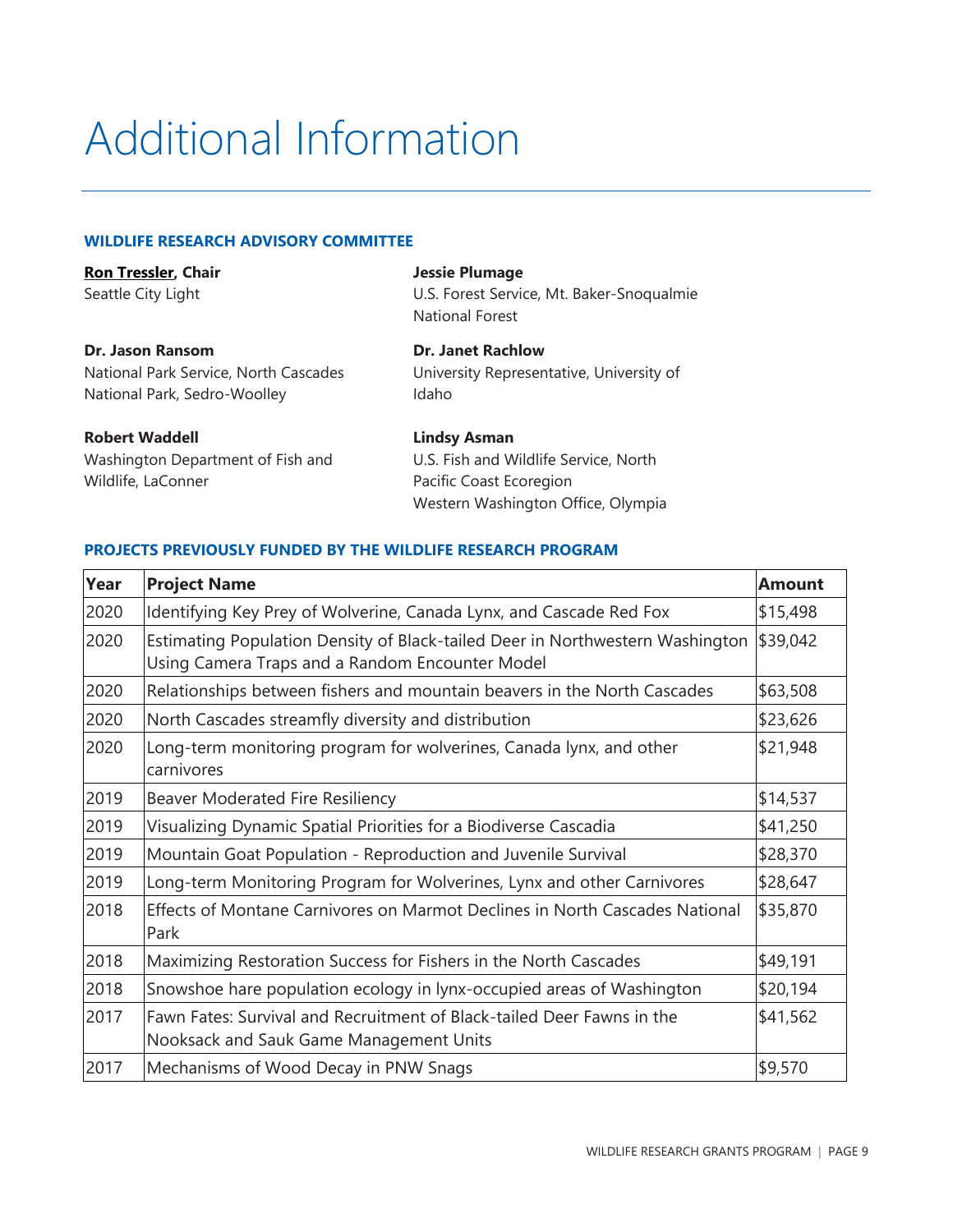# <span id="page-8-0"></span>Additional Information

#### <span id="page-8-1"></span>**WILDLIFE RESEARCH ADVISORY COMMITTEE**

| <b>Ron Tressler, Chair</b> |  |
|----------------------------|--|
| Seattle City Light         |  |

**Dr. Jason Ransom** National Park Service, North Cascades National Park, Sedro-Woolley

**Robert Waddell** Washington Department of Fish and Wildlife, LaConner

**Jessie Plumage**

U.S. Forest Service, Mt. Baker-Snoqualmie National Forest

**Dr. Janet Rachlow** University Representative, University of Idaho

**Lindsy Asman** U.S. Fish and Wildlife Service, North Pacific Coast Ecoregion Western Washington Office, Olympia

#### <span id="page-8-2"></span>**PROJECTS PREVIOUSLY FUNDED BY THE WILDLIFE RESEARCH PROGRAM**

| Year | <b>Project Name</b>                                                                                                              | <b>Amount</b> |
|------|----------------------------------------------------------------------------------------------------------------------------------|---------------|
| 2020 | Identifying Key Prey of Wolverine, Canada Lynx, and Cascade Red Fox                                                              | \$15,498      |
| 2020 | Estimating Population Density of Black-tailed Deer in Northwestern Washington<br>Using Camera Traps and a Random Encounter Model | \$39,042      |
| 2020 | Relationships between fishers and mountain beavers in the North Cascades                                                         | \$63,508      |
| 2020 | North Cascades streamfly diversity and distribution                                                                              | \$23,626      |
| 2020 | Long-term monitoring program for wolverines, Canada lynx, and other<br>carnivores                                                | \$21,948      |
| 2019 | Beaver Moderated Fire Resiliency                                                                                                 | \$14,537      |
| 2019 | Visualizing Dynamic Spatial Priorities for a Biodiverse Cascadia                                                                 | \$41,250      |
| 2019 | Mountain Goat Population - Reproduction and Juvenile Survival                                                                    | \$28,370      |
| 2019 | Long-term Monitoring Program for Wolverines, Lynx and other Carnivores                                                           | \$28,647      |
| 2018 | Effects of Montane Carnivores on Marmot Declines in North Cascades National<br>Park                                              | \$35,870      |
| 2018 | Maximizing Restoration Success for Fishers in the North Cascades                                                                 | \$49,191      |
| 2018 | Snowshoe hare population ecology in lynx-occupied areas of Washington                                                            | \$20,194      |
| 2017 | Fawn Fates: Survival and Recruitment of Black-tailed Deer Fawns in the<br>Nooksack and Sauk Game Management Units                | \$41,562      |
| 2017 | Mechanisms of Wood Decay in PNW Snags                                                                                            | \$9,570       |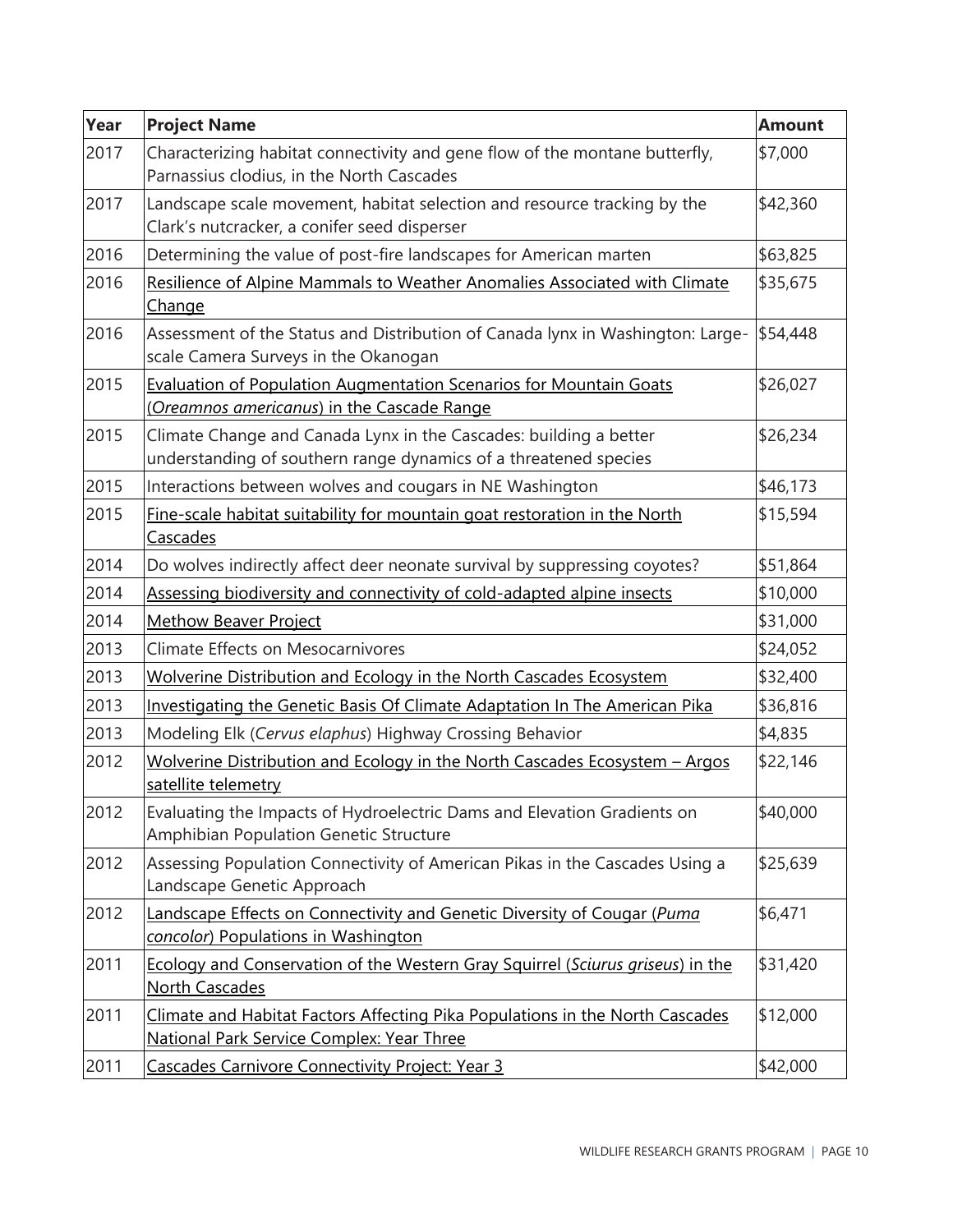| Year | <b>Project Name</b>                                                                                                                   | <b>Amount</b> |
|------|---------------------------------------------------------------------------------------------------------------------------------------|---------------|
| 2017 | Characterizing habitat connectivity and gene flow of the montane butterfly,<br>Parnassius clodius, in the North Cascades              | \$7,000       |
| 2017 | Landscape scale movement, habitat selection and resource tracking by the<br>Clark's nutcracker, a conifer seed disperser              | \$42,360      |
| 2016 | Determining the value of post-fire landscapes for American marten                                                                     | \$63,825      |
| 2016 | Resilience of Alpine Mammals to Weather Anomalies Associated with Climate<br><u>Change</u>                                            | \$35,675      |
| 2016 | Assessment of the Status and Distribution of Canada lynx in Washington: Large-<br>scale Camera Surveys in the Okanogan                | \$54,448      |
| 2015 | <b>Evaluation of Population Augmentation Scenarios for Mountain Goats</b><br>(Oreamnos americanus) in the Cascade Range               | \$26,027      |
| 2015 | Climate Change and Canada Lynx in the Cascades: building a better<br>understanding of southern range dynamics of a threatened species | \$26,234      |
| 2015 | Interactions between wolves and cougars in NE Washington                                                                              | \$46,173      |
| 2015 | Fine-scale habitat suitability for mountain goat restoration in the North<br><b>Cascades</b>                                          | \$15,594      |
| 2014 | Do wolves indirectly affect deer neonate survival by suppressing coyotes?                                                             | \$51,864      |
| 2014 | Assessing biodiversity and connectivity of cold-adapted alpine insects                                                                | \$10,000      |
| 2014 | <b>Methow Beaver Project</b>                                                                                                          | \$31,000      |
| 2013 | <b>Climate Effects on Mesocarnivores</b>                                                                                              | \$24,052      |
| 2013 | Wolverine Distribution and Ecology in the North Cascades Ecosystem                                                                    | \$32,400      |
| 2013 | Investigating the Genetic Basis Of Climate Adaptation In The American Pika                                                            | \$36,816      |
| 2013 | Modeling Elk (Cervus elaphus) Highway Crossing Behavior                                                                               | \$4,835       |
| 2012 | Wolverine Distribution and Ecology in the North Cascades Ecosystem - Argos<br>satellite telemetry                                     | \$22,146      |
| 2012 | Evaluating the Impacts of Hydroelectric Dams and Elevation Gradients on<br><b>Amphibian Population Genetic Structure</b>              | \$40,000      |
| 2012 | Assessing Population Connectivity of American Pikas in the Cascades Using a<br>Landscape Genetic Approach                             | \$25,639      |
| 2012 | Landscape Effects on Connectivity and Genetic Diversity of Cougar (Puma<br>concolor) Populations in Washington                        | \$6,471       |
| 2011 | Ecology and Conservation of the Western Gray Squirrel (Sciurus griseus) in the<br><b>North Cascades</b>                               | \$31,420      |
| 2011 | Climate and Habitat Factors Affecting Pika Populations in the North Cascades<br>National Park Service Complex: Year Three             | \$12,000      |
| 2011 | Cascades Carnivore Connectivity Project: Year 3                                                                                       | \$42,000      |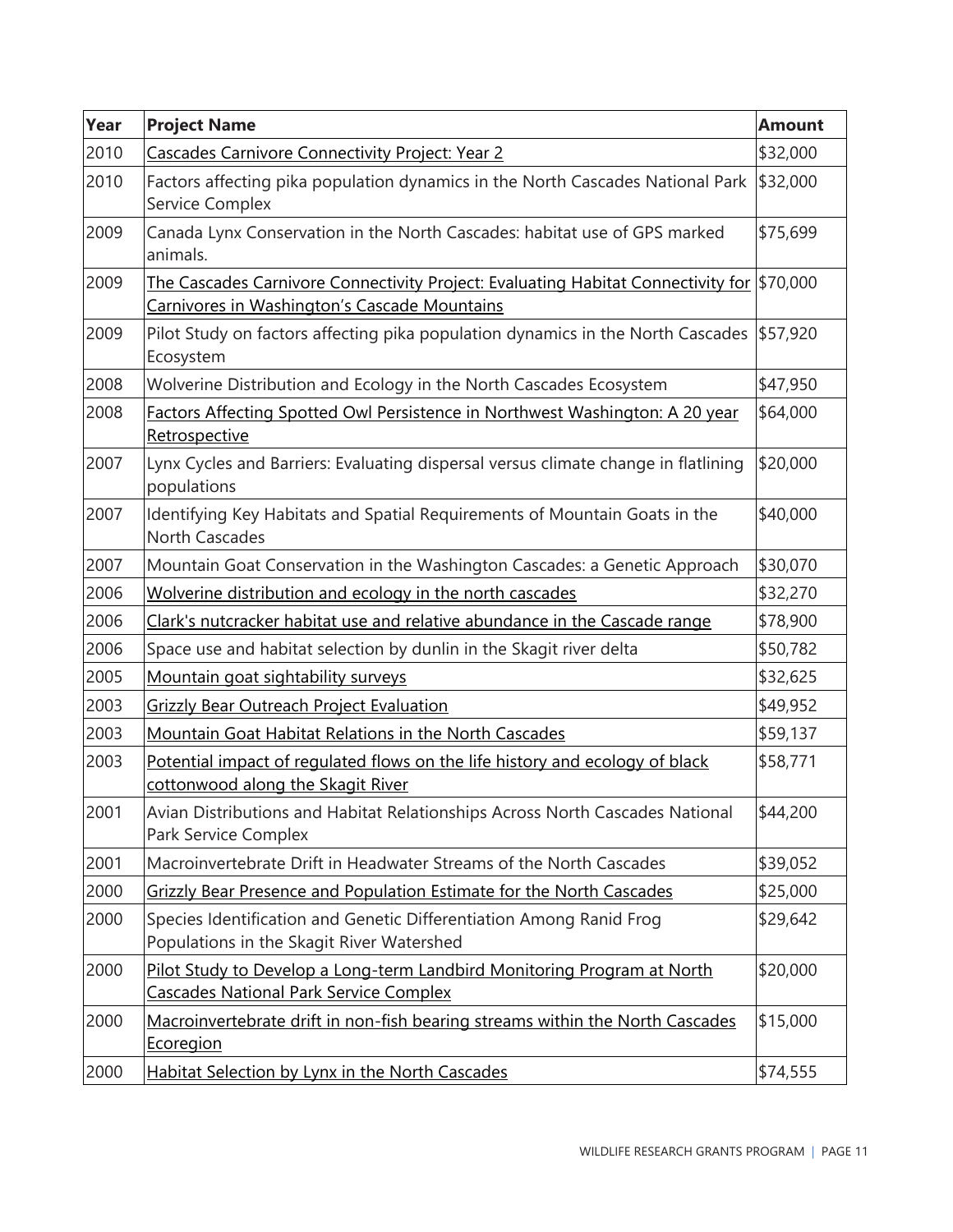| Year | <b>Project Name</b>                                                                                                                     | <b>Amount</b> |
|------|-----------------------------------------------------------------------------------------------------------------------------------------|---------------|
| 2010 | <b>Cascades Carnivore Connectivity Project: Year 2</b>                                                                                  | \$32,000      |
| 2010 | Factors affecting pika population dynamics in the North Cascades National Park<br>Service Complex                                       | \$32,000      |
| 2009 | Canada Lynx Conservation in the North Cascades: habitat use of GPS marked<br>animals.                                                   | \$75,699      |
| 2009 | The Cascades Carnivore Connectivity Project: Evaluating Habitat Connectivity for<br><b>Carnivores in Washington's Cascade Mountains</b> | \$70,000      |
| 2009 | Pilot Study on factors affecting pika population dynamics in the North Cascades<br>Ecosystem                                            | \$57,920      |
| 2008 | Wolverine Distribution and Ecology in the North Cascades Ecosystem                                                                      | \$47,950      |
| 2008 | Factors Affecting Spotted Owl Persistence in Northwest Washington: A 20 year<br>Retrospective                                           | \$64,000      |
| 2007 | Lynx Cycles and Barriers: Evaluating dispersal versus climate change in flatlining<br>populations                                       | \$20,000      |
| 2007 | Identifying Key Habitats and Spatial Requirements of Mountain Goats in the<br><b>North Cascades</b>                                     | \$40,000      |
| 2007 | Mountain Goat Conservation in the Washington Cascades: a Genetic Approach                                                               | \$30,070      |
| 2006 | Wolverine distribution and ecology in the north cascades                                                                                | \$32,270      |
| 2006 | Clark's nutcracker habitat use and relative abundance in the Cascade range                                                              | \$78,900      |
| 2006 | Space use and habitat selection by dunlin in the Skagit river delta                                                                     | \$50,782      |
| 2005 | Mountain goat sightability surveys                                                                                                      | \$32,625      |
| 2003 | <b>Grizzly Bear Outreach Project Evaluation</b>                                                                                         | \$49,952      |
| 2003 | Mountain Goat Habitat Relations in the North Cascades                                                                                   | \$59,137      |
| 2003 | Potential impact of regulated flows on the life history and ecology of black<br>cottonwood along the Skagit River                       | \$58,771      |
| 2001 | Avian Distributions and Habitat Relationships Across North Cascades National<br>Park Service Complex                                    | \$44,200      |
| 2001 | Macroinvertebrate Drift in Headwater Streams of the North Cascades                                                                      | \$39,052      |
| 2000 | Grizzly Bear Presence and Population Estimate for the North Cascades                                                                    | \$25,000      |
| 2000 | Species Identification and Genetic Differentiation Among Ranid Frog<br>Populations in the Skagit River Watershed                        | \$29,642      |
| 2000 | Pilot Study to Develop a Long-term Landbird Monitoring Program at North<br><b>Cascades National Park Service Complex</b>                | \$20,000      |
| 2000 | Macroinvertebrate drift in non-fish bearing streams within the North Cascades<br><u>Ecoregion</u>                                       | \$15,000      |
| 2000 | <b>Habitat Selection by Lynx in the North Cascades</b>                                                                                  | \$74,555      |